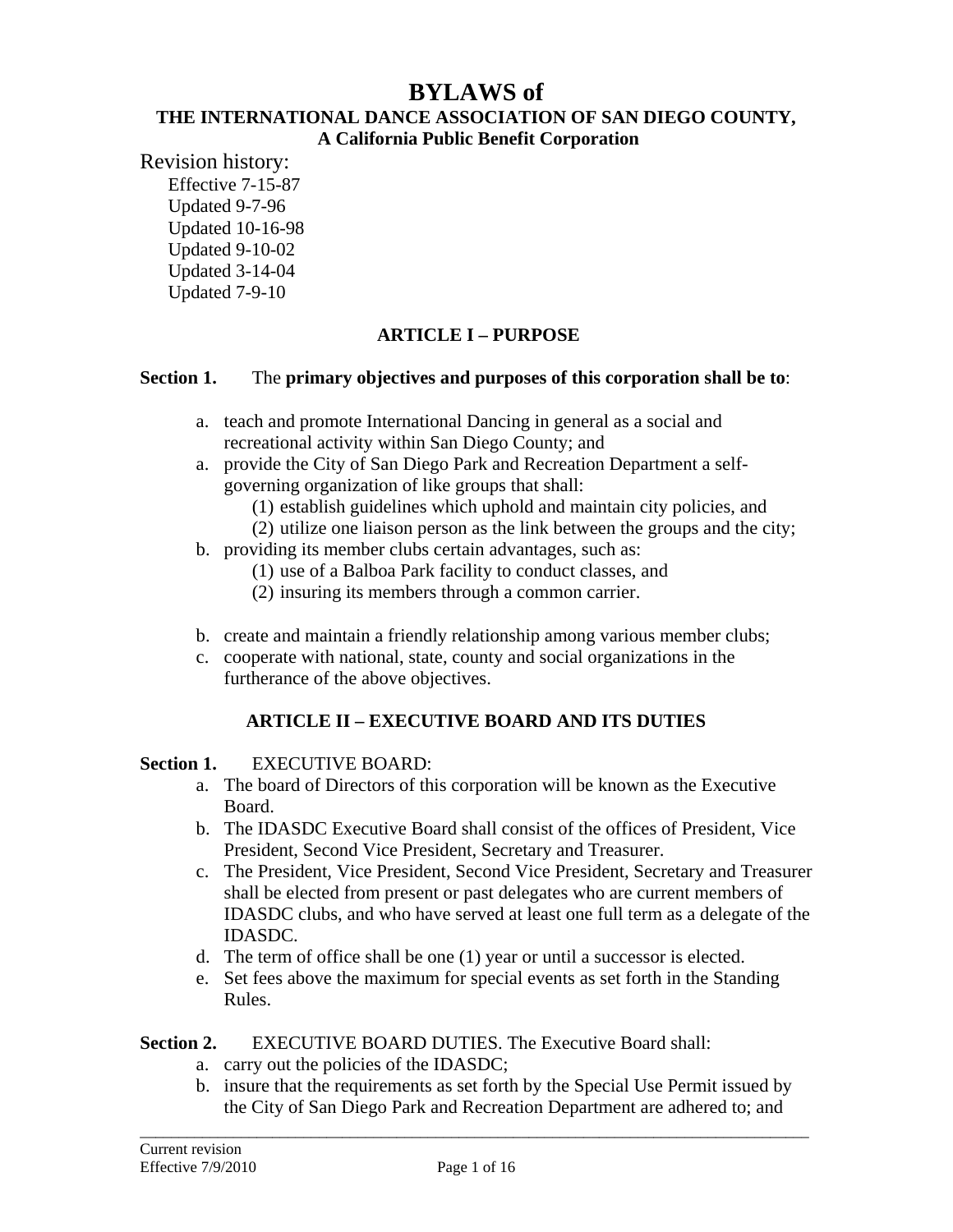#### **THE INTERNATIONAL DANCE ASSOCIATION OF SAN DIEGO COUNTY, A California Public Benefit Corporation**

Revision history:

Effective 7-15-87 Updated 9-7-96 Updated 10-16-98 Updated 9-10-02 Updated 3-14-04 Updated 7-9-10

# **ARTICLE I – PURPOSE**

### **Section 1.** The **primary objectives and purposes of this corporation shall be to**:

- a. teach and promote International Dancing in general as a social and recreational activity within San Diego County; and
- a. provide the City of San Diego Park and Recreation Department a selfgoverning organization of like groups that shall:
	- (1) establish guidelines which uphold and maintain city policies, and
	- (2) utilize one liaison person as the link between the groups and the city;
- b. providing its member clubs certain advantages, such as:
	- (1) use of a Balboa Park facility to conduct classes, and
	- (2) insuring its members through a common carrier.
- b. create and maintain a friendly relationship among various member clubs;
- c. cooperate with national, state, county and social organizations in the furtherance of the above objectives.

# **ARTICLE II – EXECUTIVE BOARD AND ITS DUTIES**

### **Section 1.** EXECUTIVE BOARD:

- a. The board of Directors of this corporation will be known as the Executive Board.
- b. The IDASDC Executive Board shall consist of the offices of President, Vice President, Second Vice President, Secretary and Treasurer.
- c. The President, Vice President, Second Vice President, Secretary and Treasurer shall be elected from present or past delegates who are current members of IDASDC clubs, and who have served at least one full term as a delegate of the IDASDC.
- d. The term of office shall be one (1) year or until a successor is elected.
- e. Set fees above the maximum for special events as set forth in the Standing Rules.

### **Section 2.** EXECUTIVE BOARD DUTIES. The Executive Board shall:

- a. carry out the policies of the IDASDC;
- b. insure that the requirements as set forth by the Special Use Permit issued by the City of San Diego Park and Recreation Department are adhered to; and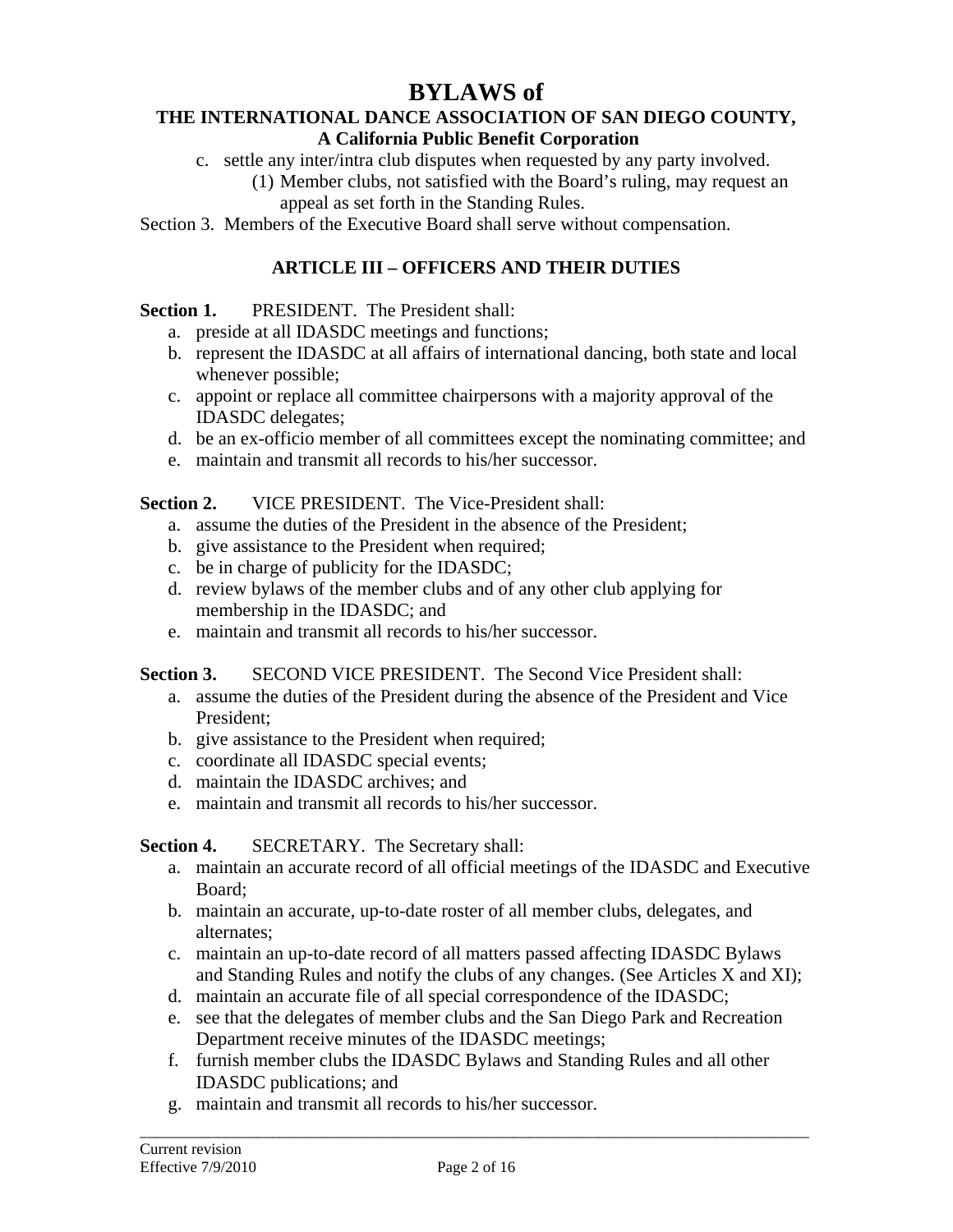#### **THE INTERNATIONAL DANCE ASSOCIATION OF SAN DIEGO COUNTY, A California Public Benefit Corporation**

- c. settle any inter/intra club disputes when requested by any party involved.
	- (1) Member clubs, not satisfied with the Board's ruling, may request an appeal as set forth in the Standing Rules.

Section 3. Members of the Executive Board shall serve without compensation.

# **ARTICLE III – OFFICERS AND THEIR DUTIES**

**Section 1.** PRESIDENT. The President shall:

- a. preside at all IDASDC meetings and functions;
- b. represent the IDASDC at all affairs of international dancing, both state and local whenever possible;
- c. appoint or replace all committee chairpersons with a majority approval of the IDASDC delegates;
- d. be an ex-officio member of all committees except the nominating committee; and
- e. maintain and transmit all records to his/her successor.

**Section 2.** VICE PRESIDENT. The Vice-President shall:

- a. assume the duties of the President in the absence of the President;
- b. give assistance to the President when required;
- c. be in charge of publicity for the IDASDC;
- d. review bylaws of the member clubs and of any other club applying for membership in the IDASDC; and
- e. maintain and transmit all records to his/her successor.

**Section 3.** SECOND VICE PRESIDENT. The Second Vice President shall:

- a. assume the duties of the President during the absence of the President and Vice President;
- b. give assistance to the President when required;
- c. coordinate all IDASDC special events;
- d. maintain the IDASDC archives; and
- e. maintain and transmit all records to his/her successor.

#### **Section 4.** SECRETARY. The Secretary shall:

- a. maintain an accurate record of all official meetings of the IDASDC and Executive Board;
- b. maintain an accurate, up-to-date roster of all member clubs, delegates, and alternates;
- c. maintain an up-to-date record of all matters passed affecting IDASDC Bylaws and Standing Rules and notify the clubs of any changes. (See Articles X and XI);
- d. maintain an accurate file of all special correspondence of the IDASDC;
- e. see that the delegates of member clubs and the San Diego Park and Recreation Department receive minutes of the IDASDC meetings;
- f. furnish member clubs the IDASDC Bylaws and Standing Rules and all other IDASDC publications; and
- g. maintain and transmit all records to his/her successor.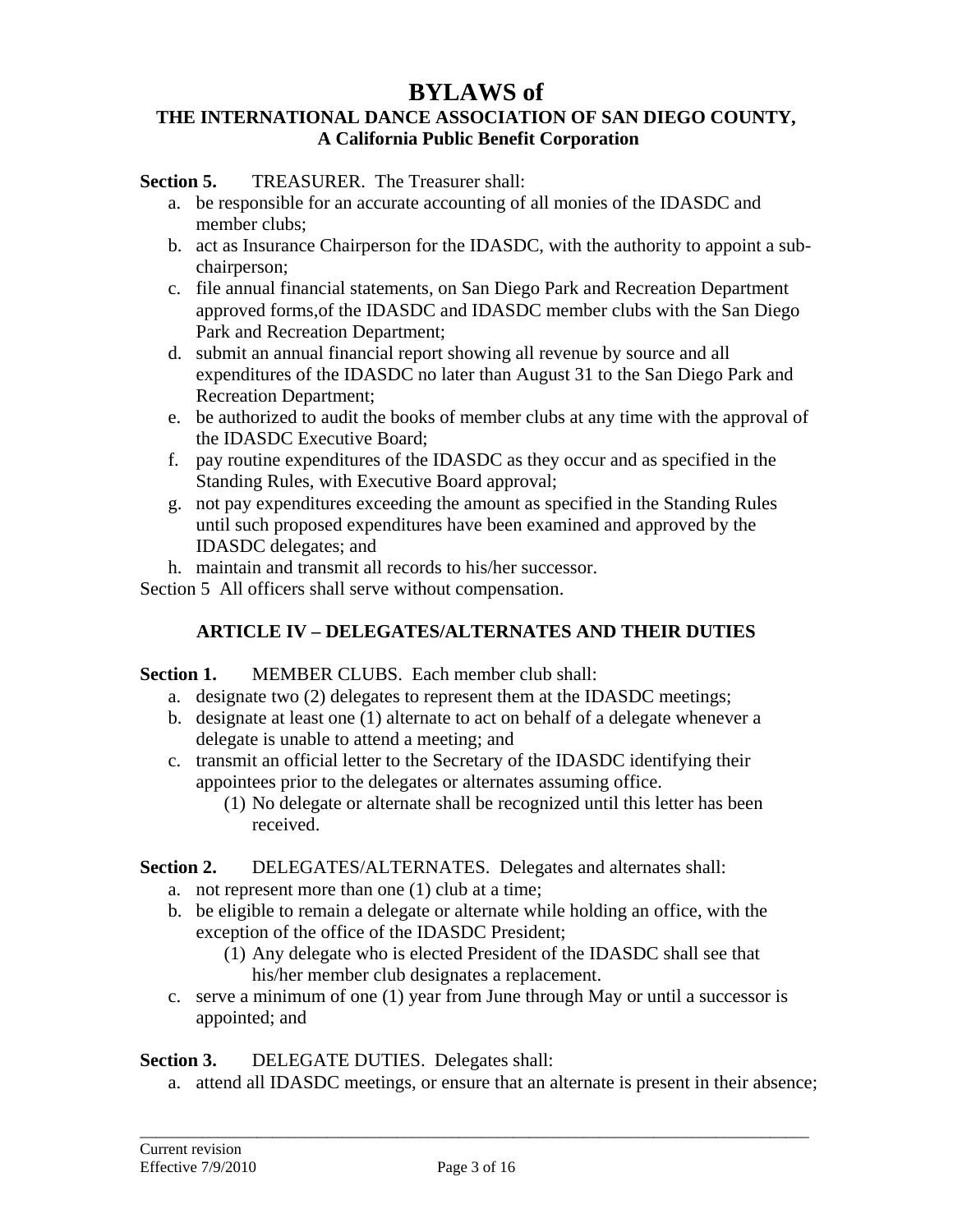### **THE INTERNATIONAL DANCE ASSOCIATION OF SAN DIEGO COUNTY, A California Public Benefit Corporation**

### **Section 5.** TREASURER. The Treasurer shall:

- a. be responsible for an accurate accounting of all monies of the IDASDC and member clubs;
- b. act as Insurance Chairperson for the IDASDC, with the authority to appoint a subchairperson;
- c. file annual financial statements, on San Diego Park and Recreation Department approved forms,of the IDASDC and IDASDC member clubs with the San Diego Park and Recreation Department;
- d. submit an annual financial report showing all revenue by source and all expenditures of the IDASDC no later than August 31 to the San Diego Park and Recreation Department;
- e. be authorized to audit the books of member clubs at any time with the approval of the IDASDC Executive Board;
- f. pay routine expenditures of the IDASDC as they occur and as specified in the Standing Rules, with Executive Board approval;
- g. not pay expenditures exceeding the amount as specified in the Standing Rules until such proposed expenditures have been examined and approved by the IDASDC delegates; and
- h. maintain and transmit all records to his/her successor.

Section 5 All officers shall serve without compensation.

# **ARTICLE IV – DELEGATES/ALTERNATES AND THEIR DUTIES**

### **Section 1.** MEMBER CLUBS. Each member club shall:

- a. designate two (2) delegates to represent them at the IDASDC meetings;
- b. designate at least one (1) alternate to act on behalf of a delegate whenever a delegate is unable to attend a meeting; and
- c. transmit an official letter to the Secretary of the IDASDC identifying their appointees prior to the delegates or alternates assuming office.
	- (1) No delegate or alternate shall be recognized until this letter has been received.

**Section 2.** DELEGATES/ALTERNATES. Delegates and alternates shall:

- a. not represent more than one (1) club at a time;
- b. be eligible to remain a delegate or alternate while holding an office, with the exception of the office of the IDASDC President;
	- (1) Any delegate who is elected President of the IDASDC shall see that his/her member club designates a replacement.
- c. serve a minimum of one (1) year from June through May or until a successor is appointed; and

### Section 3. DELEGATE DUTIES. Delegates shall:

a. attend all IDASDC meetings, or ensure that an alternate is present in their absence;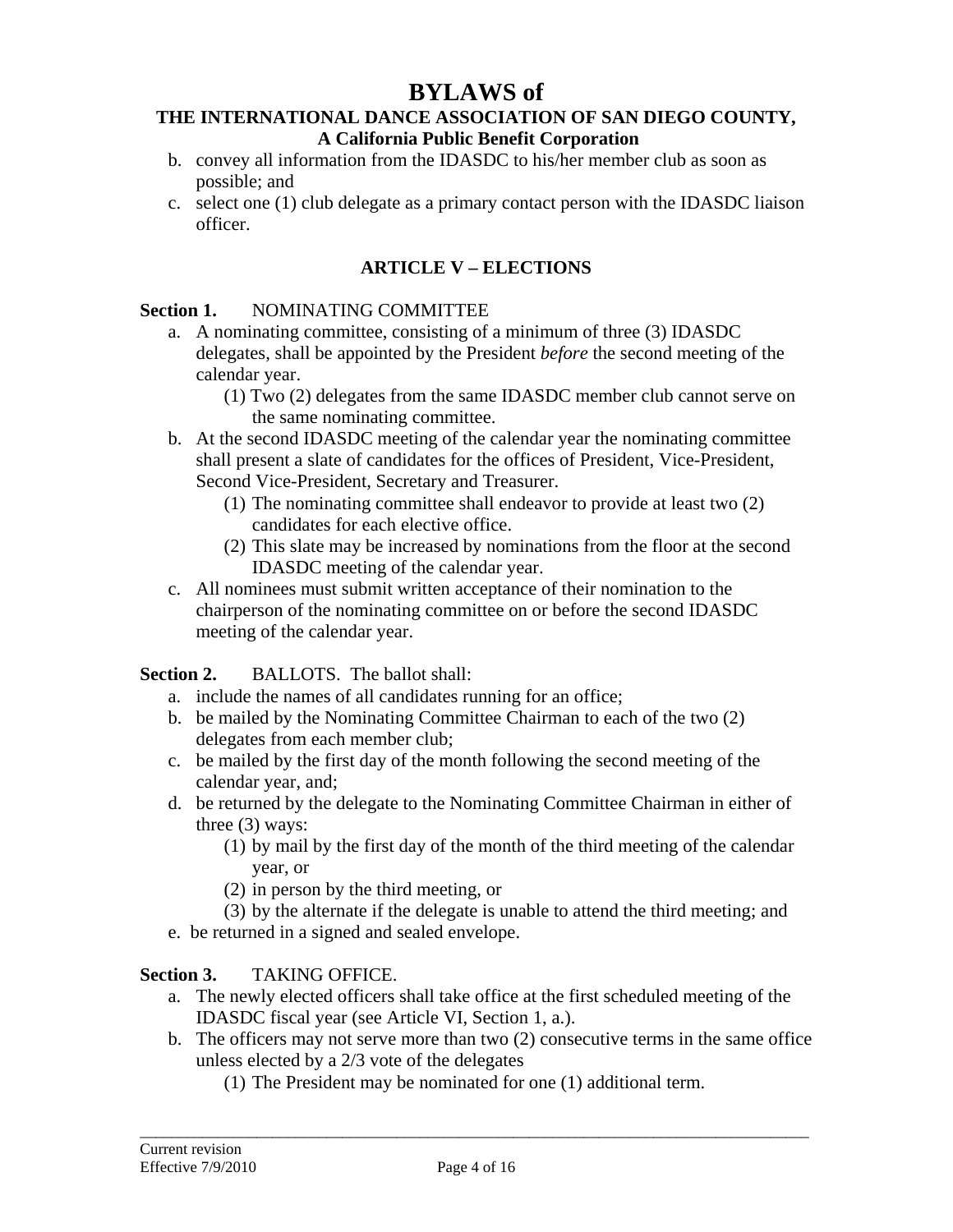#### **THE INTERNATIONAL DANCE ASSOCIATION OF SAN DIEGO COUNTY, A California Public Benefit Corporation**

- b. convey all information from the IDASDC to his/her member club as soon as possible; and
- c. select one (1) club delegate as a primary contact person with the IDASDC liaison officer.

# **ARTICLE V – ELECTIONS**

#### **Section 1.** NOMINATING COMMITTEE

- a. A nominating committee, consisting of a minimum of three (3) IDASDC delegates, shall be appointed by the President *before* the second meeting of the calendar year.
	- (1) Two (2) delegates from the same IDASDC member club cannot serve on the same nominating committee.
- b. At the second IDASDC meeting of the calendar year the nominating committee shall present a slate of candidates for the offices of President, Vice-President, Second Vice-President, Secretary and Treasurer.
	- (1) The nominating committee shall endeavor to provide at least two (2) candidates for each elective office.
	- (2) This slate may be increased by nominations from the floor at the second IDASDC meeting of the calendar year.
- c. All nominees must submit written acceptance of their nomination to the chairperson of the nominating committee on or before the second IDASDC meeting of the calendar year.

### Section 2. BALLOTS. The ballot shall:

- a. include the names of all candidates running for an office;
- b. be mailed by the Nominating Committee Chairman to each of the two (2) delegates from each member club;
- c. be mailed by the first day of the month following the second meeting of the calendar year, and;
- d. be returned by the delegate to the Nominating Committee Chairman in either of three (3) ways:
	- (1) by mail by the first day of the month of the third meeting of the calendar year, or
	- (2) in person by the third meeting, or
	- (3) by the alternate if the delegate is unable to attend the third meeting; and
- e. be returned in a signed and sealed envelope.

### **Section 3.** TAKING OFFICE.

- a. The newly elected officers shall take office at the first scheduled meeting of the IDASDC fiscal year (see Article VI, Section 1, a.).
- b. The officers may not serve more than two (2) consecutive terms in the same office unless elected by a 2/3 vote of the delegates
	- (1) The President may be nominated for one (1) additional term.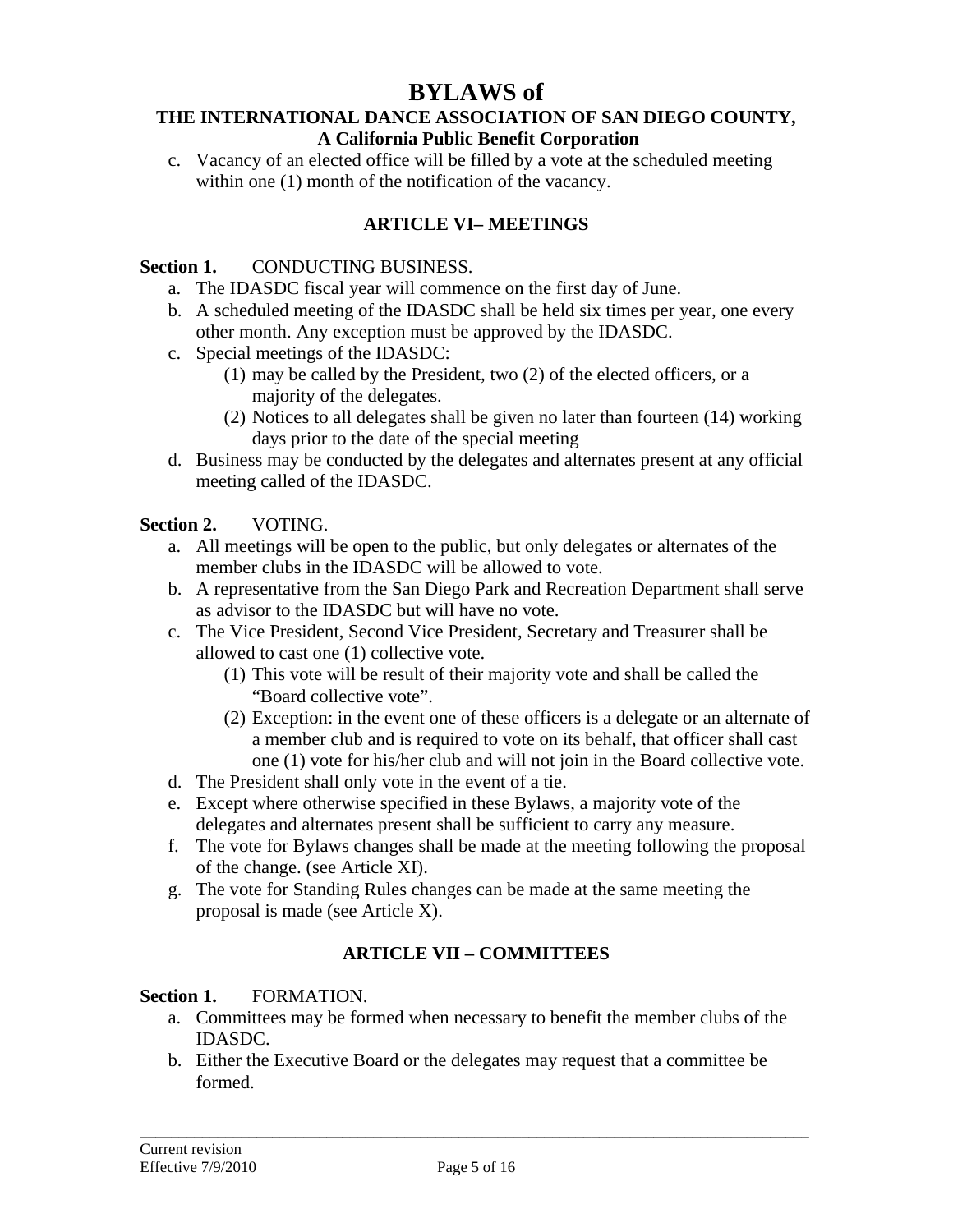#### **THE INTERNATIONAL DANCE ASSOCIATION OF SAN DIEGO COUNTY, A California Public Benefit Corporation**

c. Vacancy of an elected office will be filled by a vote at the scheduled meeting within one (1) month of the notification of the vacancy.

# **ARTICLE VI– MEETINGS**

### **Section 1.** CONDUCTING BUSINESS.

- a. The IDASDC fiscal year will commence on the first day of June.
- b. A scheduled meeting of the IDASDC shall be held six times per year, one every other month. Any exception must be approved by the IDASDC.
- c. Special meetings of the IDASDC:
	- (1) may be called by the President, two (2) of the elected officers, or a majority of the delegates.
	- (2) Notices to all delegates shall be given no later than fourteen (14) working days prior to the date of the special meeting
- d. Business may be conducted by the delegates and alternates present at any official meeting called of the IDASDC.

#### **Section 2.** VOTING.

- a. All meetings will be open to the public, but only delegates or alternates of the member clubs in the IDASDC will be allowed to vote.
- b. A representative from the San Diego Park and Recreation Department shall serve as advisor to the IDASDC but will have no vote.
- c. The Vice President, Second Vice President, Secretary and Treasurer shall be allowed to cast one (1) collective vote.
	- (1) This vote will be result of their majority vote and shall be called the "Board collective vote".
	- (2) Exception: in the event one of these officers is a delegate or an alternate of a member club and is required to vote on its behalf, that officer shall cast one (1) vote for his/her club and will not join in the Board collective vote.
- d. The President shall only vote in the event of a tie.
- e. Except where otherwise specified in these Bylaws, a majority vote of the delegates and alternates present shall be sufficient to carry any measure.
- f. The vote for Bylaws changes shall be made at the meeting following the proposal of the change. (see Article XI).
- g. The vote for Standing Rules changes can be made at the same meeting the proposal is made (see Article X).

# **ARTICLE VII – COMMITTEES**

#### **Section 1.** FORMATION.

- a. Committees may be formed when necessary to benefit the member clubs of the IDASDC.
- b. Either the Executive Board or the delegates may request that a committee be formed.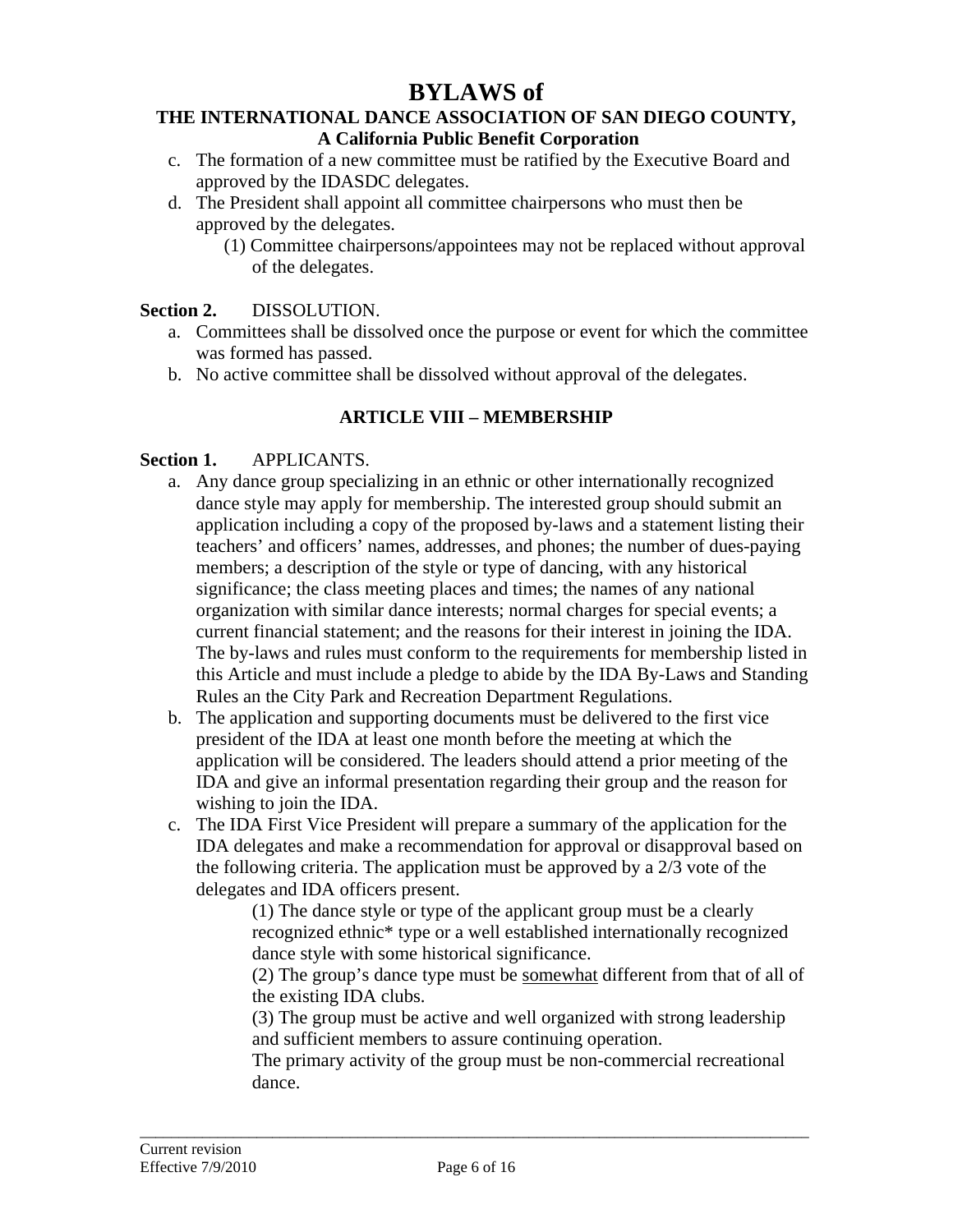#### **THE INTERNATIONAL DANCE ASSOCIATION OF SAN DIEGO COUNTY, A California Public Benefit Corporation**

- c. The formation of a new committee must be ratified by the Executive Board and approved by the IDASDC delegates.
- d. The President shall appoint all committee chairpersons who must then be approved by the delegates.
	- (1) Committee chairpersons/appointees may not be replaced without approval of the delegates.

### **Section 2.** DISSOLUTION.

- a. Committees shall be dissolved once the purpose or event for which the committee was formed has passed.
- b. No active committee shall be dissolved without approval of the delegates.

# **ARTICLE VIII – MEMBERSHIP**

### **Section 1.** APPLICANTS.

- a. Any dance group specializing in an ethnic or other internationally recognized dance style may apply for membership. The interested group should submit an application including a copy of the proposed by-laws and a statement listing their teachers' and officers' names, addresses, and phones; the number of dues-paying members; a description of the style or type of dancing, with any historical significance; the class meeting places and times; the names of any national organization with similar dance interests; normal charges for special events; a current financial statement; and the reasons for their interest in joining the IDA. The by-laws and rules must conform to the requirements for membership listed in this Article and must include a pledge to abide by the IDA By-Laws and Standing Rules an the City Park and Recreation Department Regulations.
- b. The application and supporting documents must be delivered to the first vice president of the IDA at least one month before the meeting at which the application will be considered. The leaders should attend a prior meeting of the IDA and give an informal presentation regarding their group and the reason for wishing to join the IDA.
- c. The IDA First Vice President will prepare a summary of the application for the IDA delegates and make a recommendation for approval or disapproval based on the following criteria. The application must be approved by a 2/3 vote of the delegates and IDA officers present.

(1) The dance style or type of the applicant group must be a clearly recognized ethnic\* type or a well established internationally recognized dance style with some historical significance.

(2) The group's dance type must be somewhat different from that of all of the existing IDA clubs.

(3) The group must be active and well organized with strong leadership and sufficient members to assure continuing operation.

The primary activity of the group must be non-commercial recreational dance.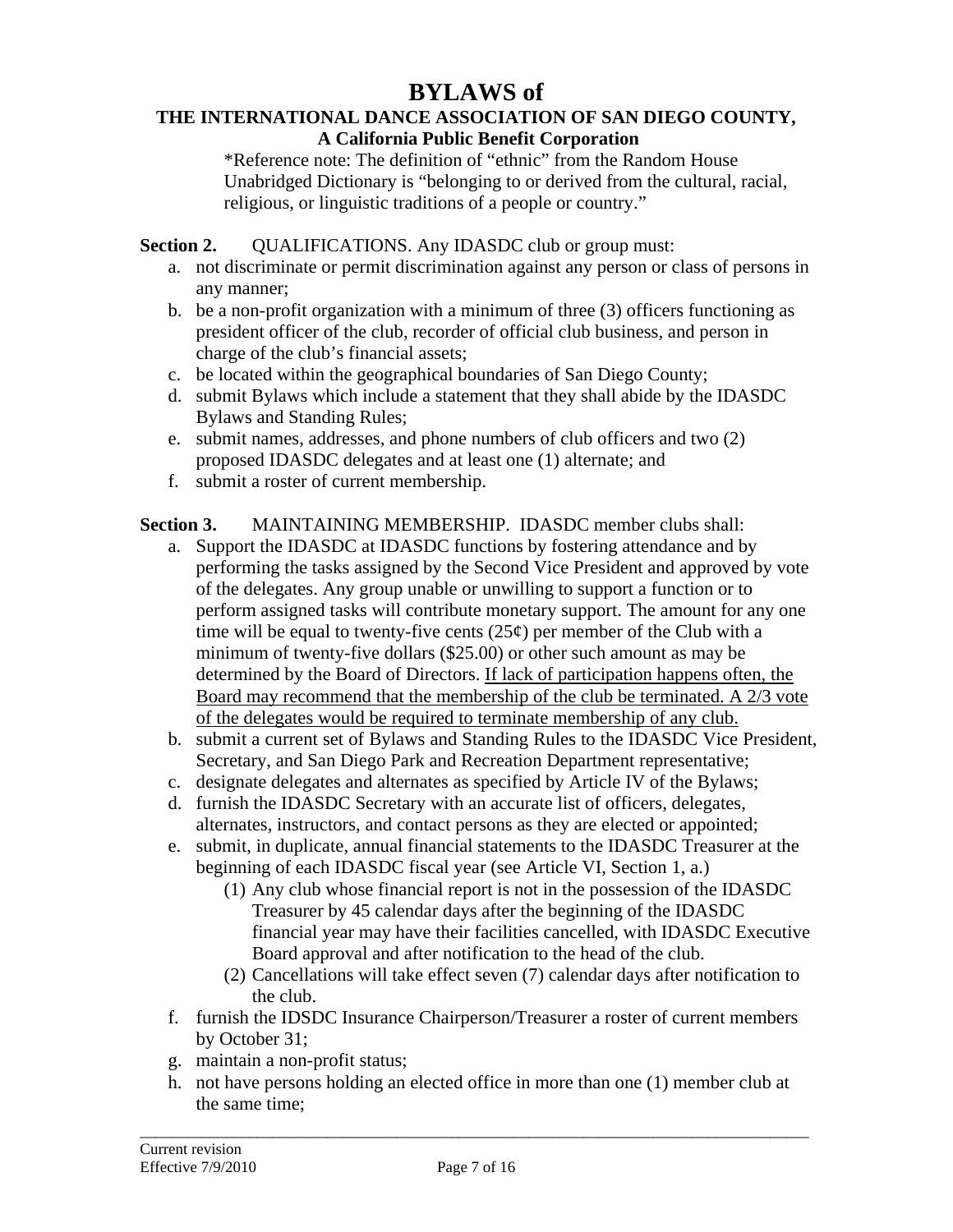#### **THE INTERNATIONAL DANCE ASSOCIATION OF SAN DIEGO COUNTY, A California Public Benefit Corporation**

\*Reference note: The definition of "ethnic" from the Random House Unabridged Dictionary is "belonging to or derived from the cultural, racial, religious, or linguistic traditions of a people or country."

**Section 2. QUALIFICATIONS.** Any **IDASDC** club or group must:

- a. not discriminate or permit discrimination against any person or class of persons in any manner;
- b. be a non-profit organization with a minimum of three (3) officers functioning as president officer of the club, recorder of official club business, and person in charge of the club's financial assets;
- c. be located within the geographical boundaries of San Diego County;
- d. submit Bylaws which include a statement that they shall abide by the IDASDC Bylaws and Standing Rules;
- e. submit names, addresses, and phone numbers of club officers and two (2) proposed IDASDC delegates and at least one (1) alternate; and
- f. submit a roster of current membership.

**Section 3.** MAINTAINING MEMBERSHIP. IDASDC member clubs shall:

- a. Support the IDASDC at IDASDC functions by fostering attendance and by performing the tasks assigned by the Second Vice President and approved by vote of the delegates. Any group unable or unwilling to support a function or to perform assigned tasks will contribute monetary support. The amount for any one time will be equal to twenty-five cents  $(25¢)$  per member of the Club with a minimum of twenty-five dollars (\$25.00) or other such amount as may be determined by the Board of Directors. If lack of participation happens often, the Board may recommend that the membership of the club be terminated. A 2/3 vote of the delegates would be required to terminate membership of any club.
- b. submit a current set of Bylaws and Standing Rules to the IDASDC Vice President, Secretary, and San Diego Park and Recreation Department representative;
- c. designate delegates and alternates as specified by Article IV of the Bylaws;
- d. furnish the IDASDC Secretary with an accurate list of officers, delegates, alternates, instructors, and contact persons as they are elected or appointed;
- e. submit, in duplicate, annual financial statements to the IDASDC Treasurer at the beginning of each IDASDC fiscal year (see Article VI, Section 1, a.)
	- (1) Any club whose financial report is not in the possession of the IDASDC Treasurer by 45 calendar days after the beginning of the IDASDC financial year may have their facilities cancelled, with IDASDC Executive Board approval and after notification to the head of the club.
	- (2) Cancellations will take effect seven (7) calendar days after notification to the club.
- f. furnish the IDSDC Insurance Chairperson/Treasurer a roster of current members by October 31;
- g. maintain a non-profit status;
- h. not have persons holding an elected office in more than one (1) member club at the same time;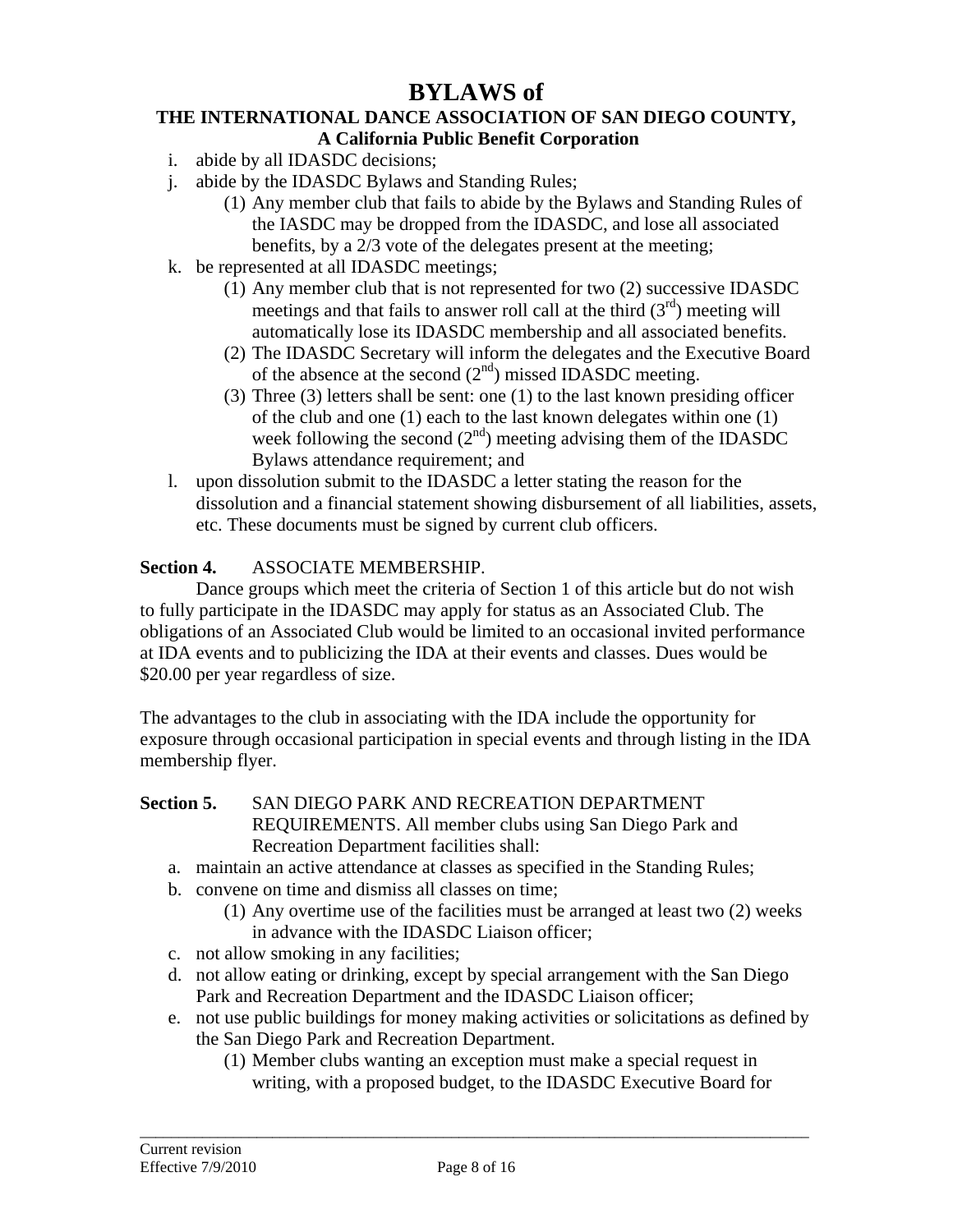#### **THE INTERNATIONAL DANCE ASSOCIATION OF SAN DIEGO COUNTY, A California Public Benefit Corporation**

- i. abide by all IDASDC decisions;
- j. abide by the IDASDC Bylaws and Standing Rules;
	- (1) Any member club that fails to abide by the Bylaws and Standing Rules of the IASDC may be dropped from the IDASDC, and lose all associated benefits, by a 2/3 vote of the delegates present at the meeting;
- k. be represented at all IDASDC meetings;
	- (1) Any member club that is not represented for two (2) successive IDASDC meetings and that fails to answer roll call at the third  $(3<sup>rd</sup>)$  meeting will automatically lose its IDASDC membership and all associated benefits.
	- (2) The IDASDC Secretary will inform the delegates and the Executive Board of the absence at the second  $(2<sup>nd</sup>)$  missed IDASDC meeting.
	- (3) Three (3) letters shall be sent: one (1) to the last known presiding officer of the club and one (1) each to the last known delegates within one (1) week following the second  $(2<sup>nd</sup>)$  meeting advising them of the IDASDC Bylaws attendance requirement; and
- l. upon dissolution submit to the IDASDC a letter stating the reason for the dissolution and a financial statement showing disbursement of all liabilities, assets, etc. These documents must be signed by current club officers.

### **Section 4.** ASSOCIATE MEMBERSHIP.

 Dance groups which meet the criteria of Section 1 of this article but do not wish to fully participate in the IDASDC may apply for status as an Associated Club. The obligations of an Associated Club would be limited to an occasional invited performance at IDA events and to publicizing the IDA at their events and classes. Dues would be \$20.00 per year regardless of size.

The advantages to the club in associating with the IDA include the opportunity for exposure through occasional participation in special events and through listing in the IDA membership flyer.

#### **Section 5.** SAN DIEGO PARK AND RECREATION DEPARTMENT REQUIREMENTS. All member clubs using San Diego Park and Recreation Department facilities shall:

- a. maintain an active attendance at classes as specified in the Standing Rules;
- b. convene on time and dismiss all classes on time;
	- (1) Any overtime use of the facilities must be arranged at least two (2) weeks in advance with the IDASDC Liaison officer;
- c. not allow smoking in any facilities;
- d. not allow eating or drinking, except by special arrangement with the San Diego Park and Recreation Department and the IDASDC Liaison officer;
- e. not use public buildings for money making activities or solicitations as defined by the San Diego Park and Recreation Department.
	- (1) Member clubs wanting an exception must make a special request in writing, with a proposed budget, to the IDASDC Executive Board for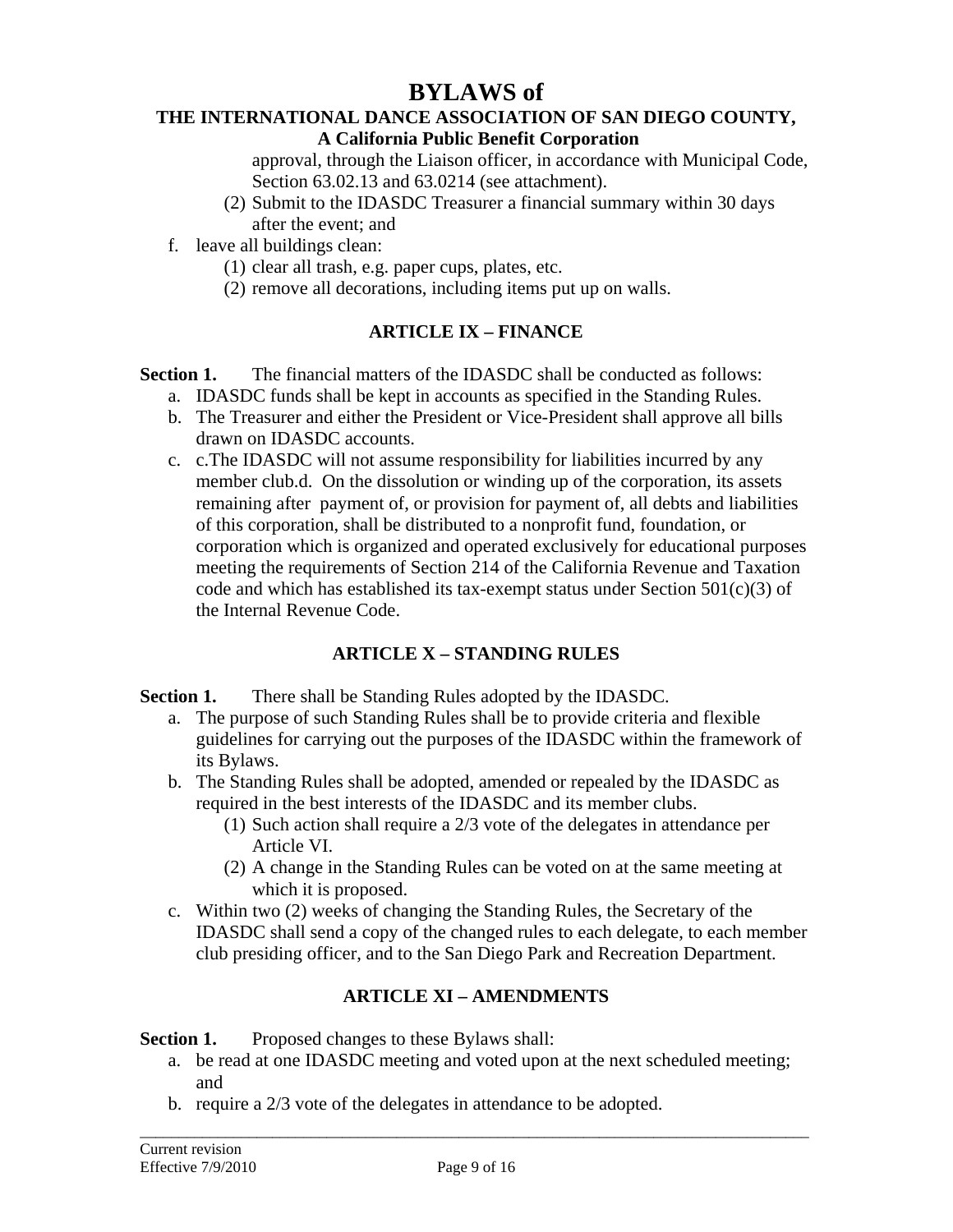# **THE INTERNATIONAL DANCE ASSOCIATION OF SAN DIEGO COUNTY,**

# **A California Public Benefit Corporation**

approval, through the Liaison officer, in accordance with Municipal Code, Section 63.02.13 and 63.0214 (see attachment).

- (2) Submit to the IDASDC Treasurer a financial summary within 30 days after the event; and
- f. leave all buildings clean:
	- (1) clear all trash, e.g. paper cups, plates, etc.
	- (2) remove all decorations, including items put up on walls.

# **ARTICLE IX – FINANCE**

**Section 1.** The financial matters of the **IDASDC** shall be conducted as follows:

- a. IDASDC funds shall be kept in accounts as specified in the Standing Rules.
- b. The Treasurer and either the President or Vice-President shall approve all bills drawn on IDASDC accounts.
- c. c.The IDASDC will not assume responsibility for liabilities incurred by any member club.d. On the dissolution or winding up of the corporation, its assets remaining after payment of, or provision for payment of, all debts and liabilities of this corporation, shall be distributed to a nonprofit fund, foundation, or corporation which is organized and operated exclusively for educational purposes meeting the requirements of Section 214 of the California Revenue and Taxation code and which has established its tax-exempt status under Section  $501(c)(3)$  of the Internal Revenue Code.

# **ARTICLE X – STANDING RULES**

# **Section 1.** There shall be Standing Rules adopted by the IDASDC.

- a. The purpose of such Standing Rules shall be to provide criteria and flexible guidelines for carrying out the purposes of the IDASDC within the framework of its Bylaws.
- b. The Standing Rules shall be adopted, amended or repealed by the IDASDC as required in the best interests of the IDASDC and its member clubs.
	- (1) Such action shall require a 2/3 vote of the delegates in attendance per Article VI.
	- (2) A change in the Standing Rules can be voted on at the same meeting at which it is proposed.
- c. Within two (2) weeks of changing the Standing Rules, the Secretary of the IDASDC shall send a copy of the changed rules to each delegate, to each member club presiding officer, and to the San Diego Park and Recreation Department.

# **ARTICLE XI – AMENDMENTS**

**Section 1.** Proposed changes to these Bylaws shall:

- a. be read at one IDASDC meeting and voted upon at the next scheduled meeting; and
- b. require a 2/3 vote of the delegates in attendance to be adopted.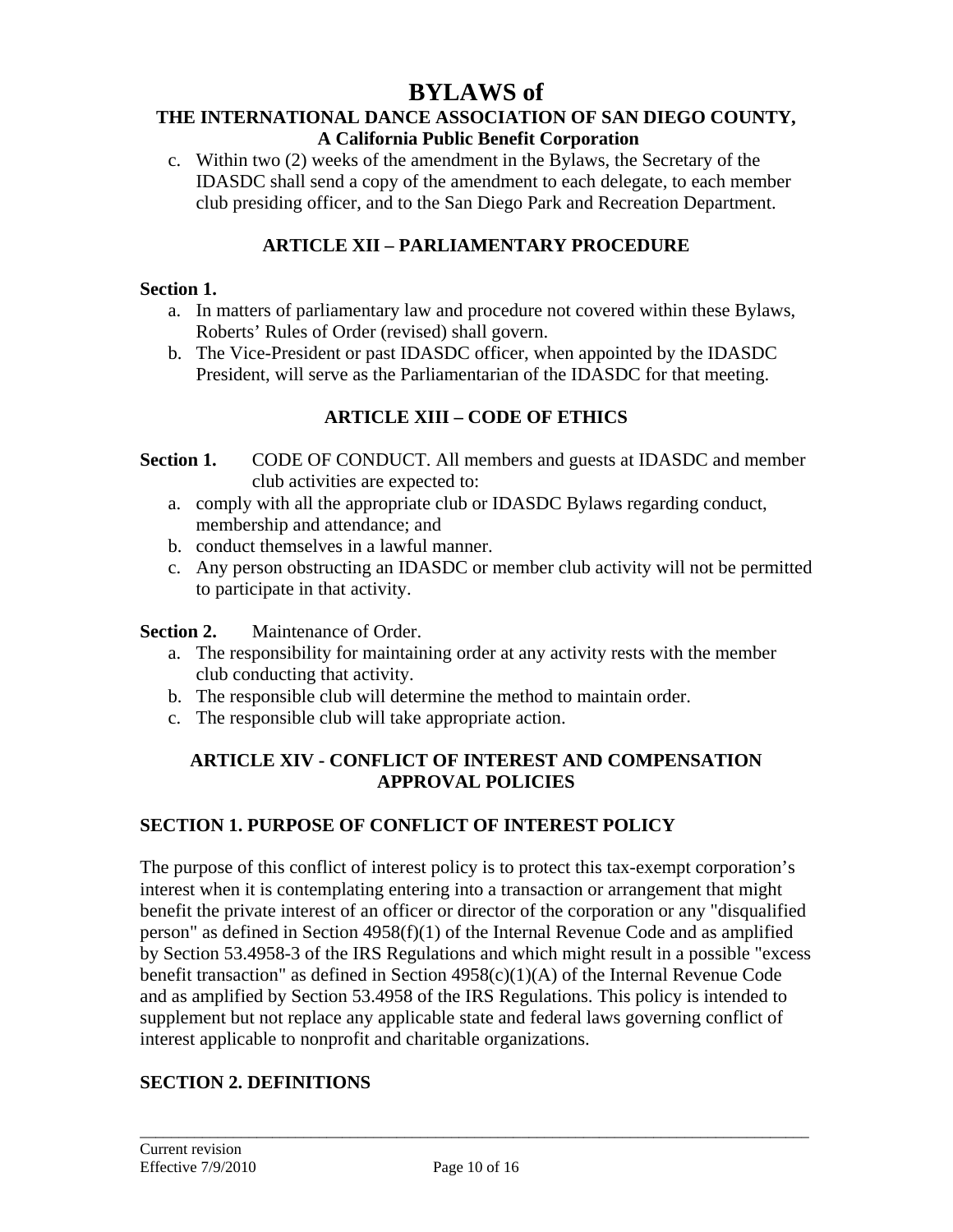#### **THE INTERNATIONAL DANCE ASSOCIATION OF SAN DIEGO COUNTY, A California Public Benefit Corporation**

c. Within two (2) weeks of the amendment in the Bylaws, the Secretary of the IDASDC shall send a copy of the amendment to each delegate, to each member club presiding officer, and to the San Diego Park and Recreation Department.

# **ARTICLE XII – PARLIAMENTARY PROCEDURE**

### **Section 1.**

- a. In matters of parliamentary law and procedure not covered within these Bylaws, Roberts' Rules of Order (revised) shall govern.
- b. The Vice-President or past IDASDC officer, when appointed by the IDASDC President, will serve as the Parliamentarian of the IDASDC for that meeting.

# **ARTICLE XIII – CODE OF ETHICS**

### **Section 1.** CODE OF CONDUCT. All members and guests at IDASDC and member club activities are expected to:

- a. comply with all the appropriate club or IDASDC Bylaws regarding conduct, membership and attendance; and
- b. conduct themselves in a lawful manner.
- c. Any person obstructing an IDASDC or member club activity will not be permitted to participate in that activity.

### **Section 2.** Maintenance of Order.

- a. The responsibility for maintaining order at any activity rests with the member club conducting that activity.
- b. The responsible club will determine the method to maintain order.
- c. The responsible club will take appropriate action.

### **ARTICLE XIV - CONFLICT OF INTEREST AND COMPENSATION APPROVAL POLICIES**

# **SECTION 1. PURPOSE OF CONFLICT OF INTEREST POLICY**

The purpose of this conflict of interest policy is to protect this tax-exempt corporation's interest when it is contemplating entering into a transaction or arrangement that might benefit the private interest of an officer or director of the corporation or any "disqualified person" as defined in Section 4958(f)(1) of the Internal Revenue Code and as amplified by Section 53.4958-3 of the IRS Regulations and which might result in a possible "excess benefit transaction" as defined in Section 4958(c)(1)(A) of the Internal Revenue Code and as amplified by Section 53.4958 of the IRS Regulations. This policy is intended to supplement but not replace any applicable state and federal laws governing conflict of interest applicable to nonprofit and charitable organizations.

# **SECTION 2. DEFINITIONS**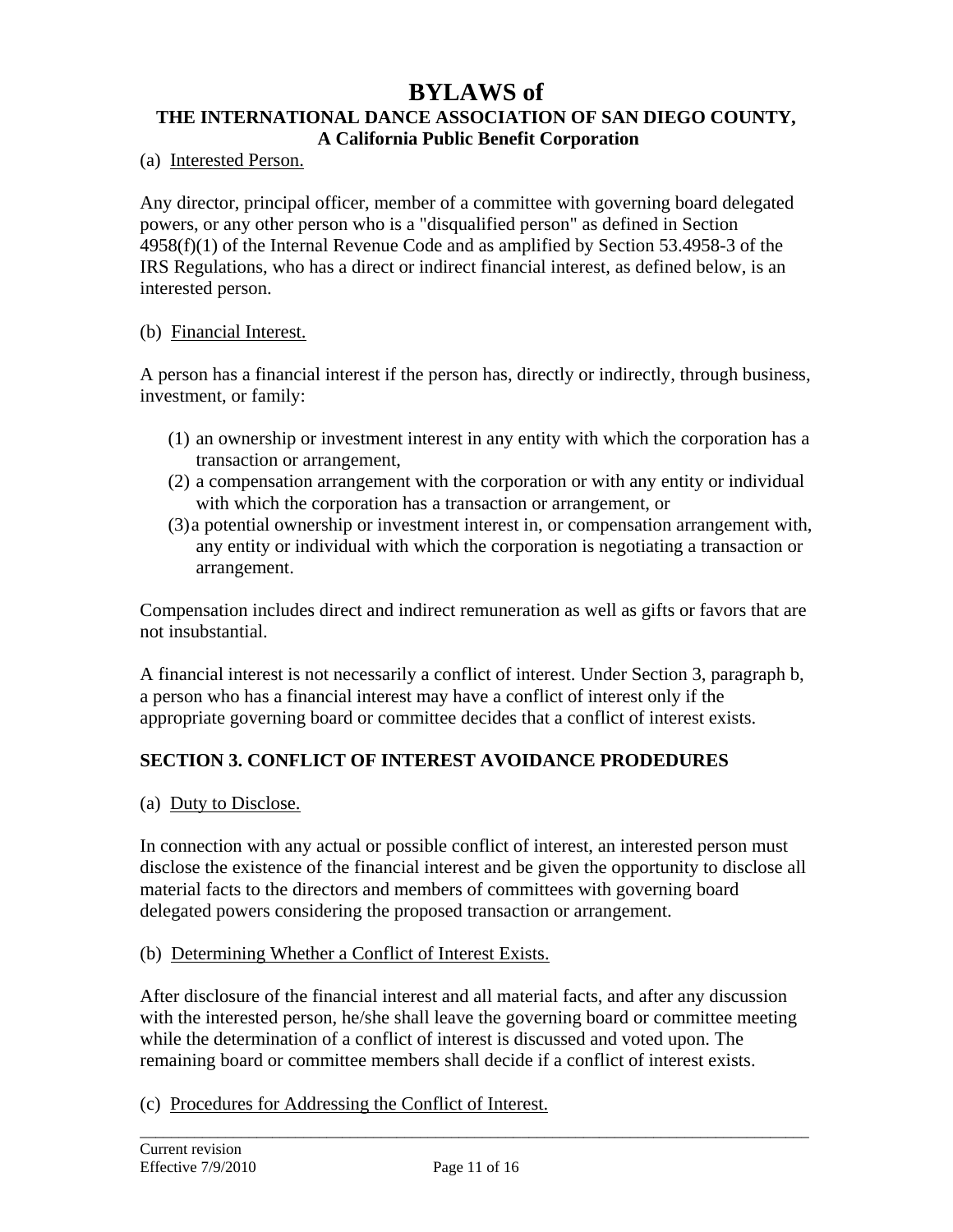### **THE INTERNATIONAL DANCE ASSOCIATION OF SAN DIEGO COUNTY, A California Public Benefit Corporation**

(a) Interested Person.

Any director, principal officer, member of a committee with governing board delegated powers, or any other person who is a "disqualified person" as defined in Section 4958(f)(1) of the Internal Revenue Code and as amplified by Section 53.4958-3 of the IRS Regulations, who has a direct or indirect financial interest, as defined below, is an interested person.

### (b) Financial Interest.

A person has a financial interest if the person has, directly or indirectly, through business, investment, or family:

- (1) an ownership or investment interest in any entity with which the corporation has a transaction or arrangement,
- (2) a compensation arrangement with the corporation or with any entity or individual with which the corporation has a transaction or arrangement, or
- (3) a potential ownership or investment interest in, or compensation arrangement with, any entity or individual with which the corporation is negotiating a transaction or arrangement.

Compensation includes direct and indirect remuneration as well as gifts or favors that are not insubstantial.

A financial interest is not necessarily a conflict of interest. Under Section 3, paragraph b, a person who has a financial interest may have a conflict of interest only if the appropriate governing board or committee decides that a conflict of interest exists.

# **SECTION 3. CONFLICT OF INTEREST AVOIDANCE PRODEDURES**

(a) Duty to Disclose.

In connection with any actual or possible conflict of interest, an interested person must disclose the existence of the financial interest and be given the opportunity to disclose all material facts to the directors and members of committees with governing board delegated powers considering the proposed transaction or arrangement.

(b) Determining Whether a Conflict of Interest Exists.

After disclosure of the financial interest and all material facts, and after any discussion with the interested person, he/she shall leave the governing board or committee meeting while the determination of a conflict of interest is discussed and voted upon. The remaining board or committee members shall decide if a conflict of interest exists.

# (c) Procedures for Addressing the Conflict of Interest.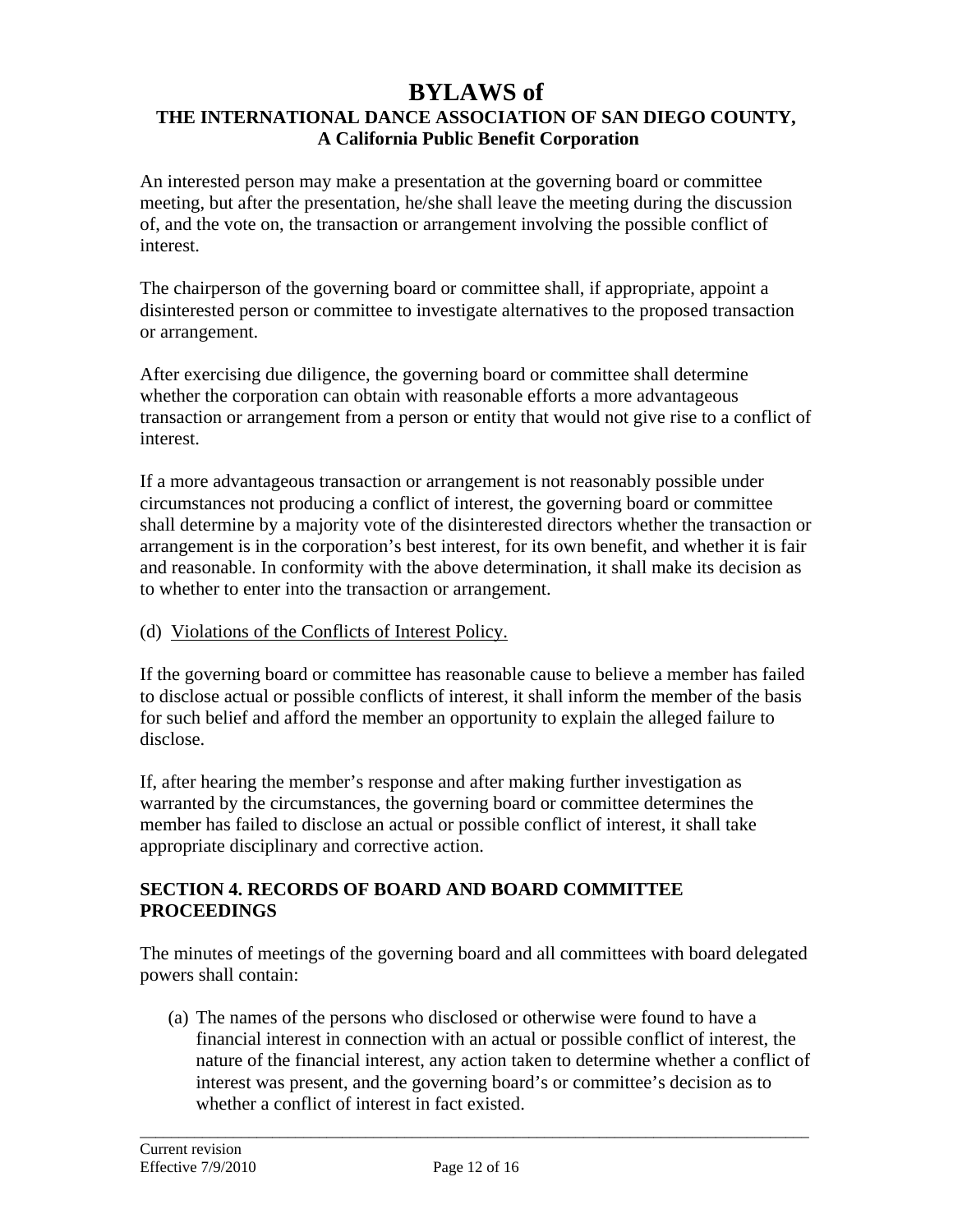# **THE INTERNATIONAL DANCE ASSOCIATION OF SAN DIEGO COUNTY, A California Public Benefit Corporation**

An interested person may make a presentation at the governing board or committee meeting, but after the presentation, he/she shall leave the meeting during the discussion of, and the vote on, the transaction or arrangement involving the possible conflict of interest.

The chairperson of the governing board or committee shall, if appropriate, appoint a disinterested person or committee to investigate alternatives to the proposed transaction or arrangement.

After exercising due diligence, the governing board or committee shall determine whether the corporation can obtain with reasonable efforts a more advantageous transaction or arrangement from a person or entity that would not give rise to a conflict of interest.

If a more advantageous transaction or arrangement is not reasonably possible under circumstances not producing a conflict of interest, the governing board or committee shall determine by a majority vote of the disinterested directors whether the transaction or arrangement is in the corporation's best interest, for its own benefit, and whether it is fair and reasonable. In conformity with the above determination, it shall make its decision as to whether to enter into the transaction or arrangement.

### (d) Violations of the Conflicts of Interest Policy.

If the governing board or committee has reasonable cause to believe a member has failed to disclose actual or possible conflicts of interest, it shall inform the member of the basis for such belief and afford the member an opportunity to explain the alleged failure to disclose.

If, after hearing the member's response and after making further investigation as warranted by the circumstances, the governing board or committee determines the member has failed to disclose an actual or possible conflict of interest, it shall take appropriate disciplinary and corrective action.

### **SECTION 4. RECORDS OF BOARD AND BOARD COMMITTEE PROCEEDINGS**

The minutes of meetings of the governing board and all committees with board delegated powers shall contain:

(a) The names of the persons who disclosed or otherwise were found to have a financial interest in connection with an actual or possible conflict of interest, the nature of the financial interest, any action taken to determine whether a conflict of interest was present, and the governing board's or committee's decision as to whether a conflict of interest in fact existed.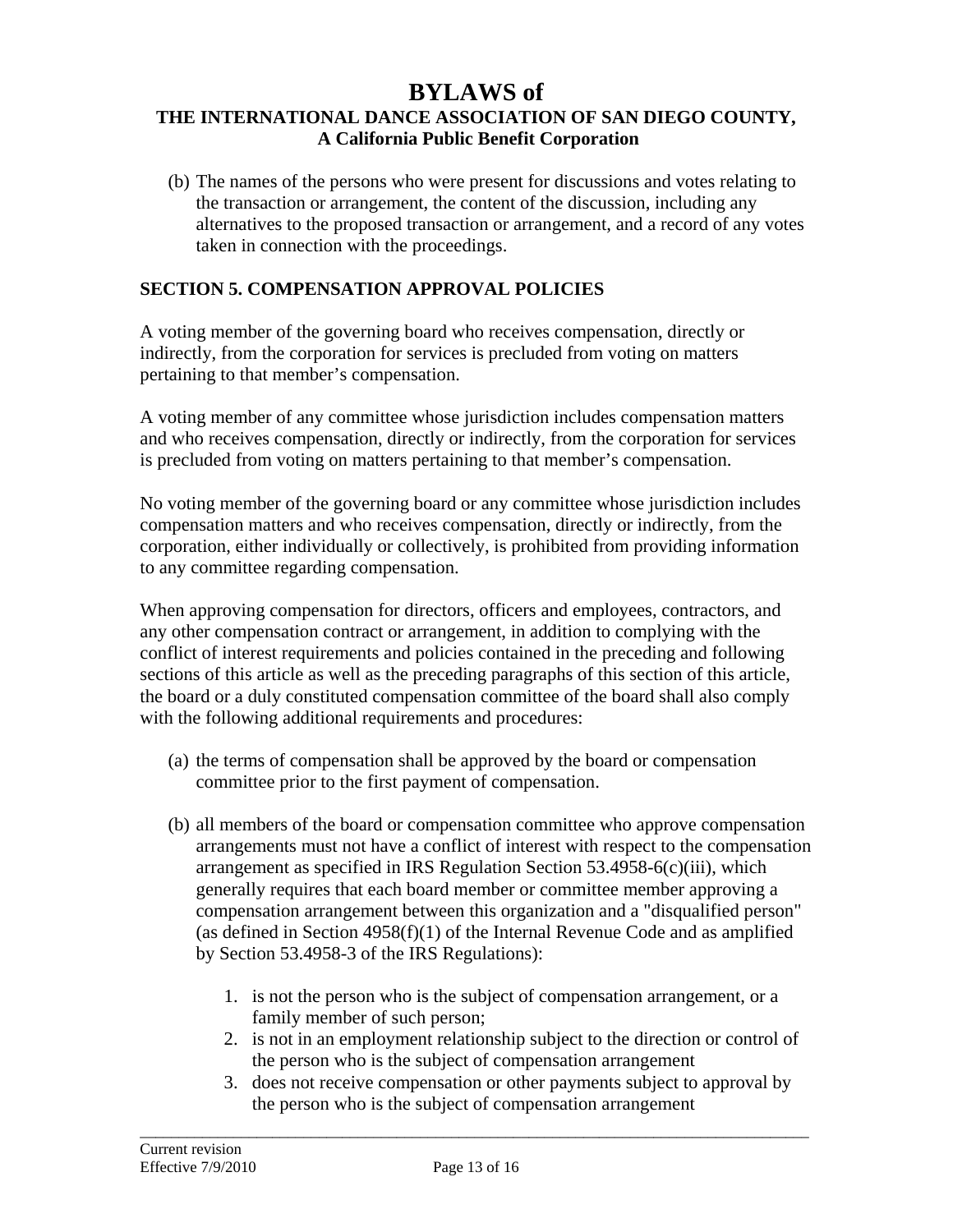# **BYLAWS of THE INTERNATIONAL DANCE ASSOCIATION OF SAN DIEGO COUNTY, A California Public Benefit Corporation**

(b) The names of the persons who were present for discussions and votes relating to the transaction or arrangement, the content of the discussion, including any alternatives to the proposed transaction or arrangement, and a record of any votes taken in connection with the proceedings.

### **SECTION 5. COMPENSATION APPROVAL POLICIES**

A voting member of the governing board who receives compensation, directly or indirectly, from the corporation for services is precluded from voting on matters pertaining to that member's compensation.

A voting member of any committee whose jurisdiction includes compensation matters and who receives compensation, directly or indirectly, from the corporation for services is precluded from voting on matters pertaining to that member's compensation.

No voting member of the governing board or any committee whose jurisdiction includes compensation matters and who receives compensation, directly or indirectly, from the corporation, either individually or collectively, is prohibited from providing information to any committee regarding compensation.

When approving compensation for directors, officers and employees, contractors, and any other compensation contract or arrangement, in addition to complying with the conflict of interest requirements and policies contained in the preceding and following sections of this article as well as the preceding paragraphs of this section of this article, the board or a duly constituted compensation committee of the board shall also comply with the following additional requirements and procedures:

- (a) the terms of compensation shall be approved by the board or compensation committee prior to the first payment of compensation.
- (b) all members of the board or compensation committee who approve compensation arrangements must not have a conflict of interest with respect to the compensation arrangement as specified in IRS Regulation Section 53.4958-6(c)(iii), which generally requires that each board member or committee member approving a compensation arrangement between this organization and a "disqualified person" (as defined in Section  $4958(f)(1)$  of the Internal Revenue Code and as amplified by Section 53.4958-3 of the IRS Regulations):
	- 1. is not the person who is the subject of compensation arrangement, or a family member of such person;
	- 2. is not in an employment relationship subject to the direction or control of the person who is the subject of compensation arrangement
	- 3. does not receive compensation or other payments subject to approval by the person who is the subject of compensation arrangement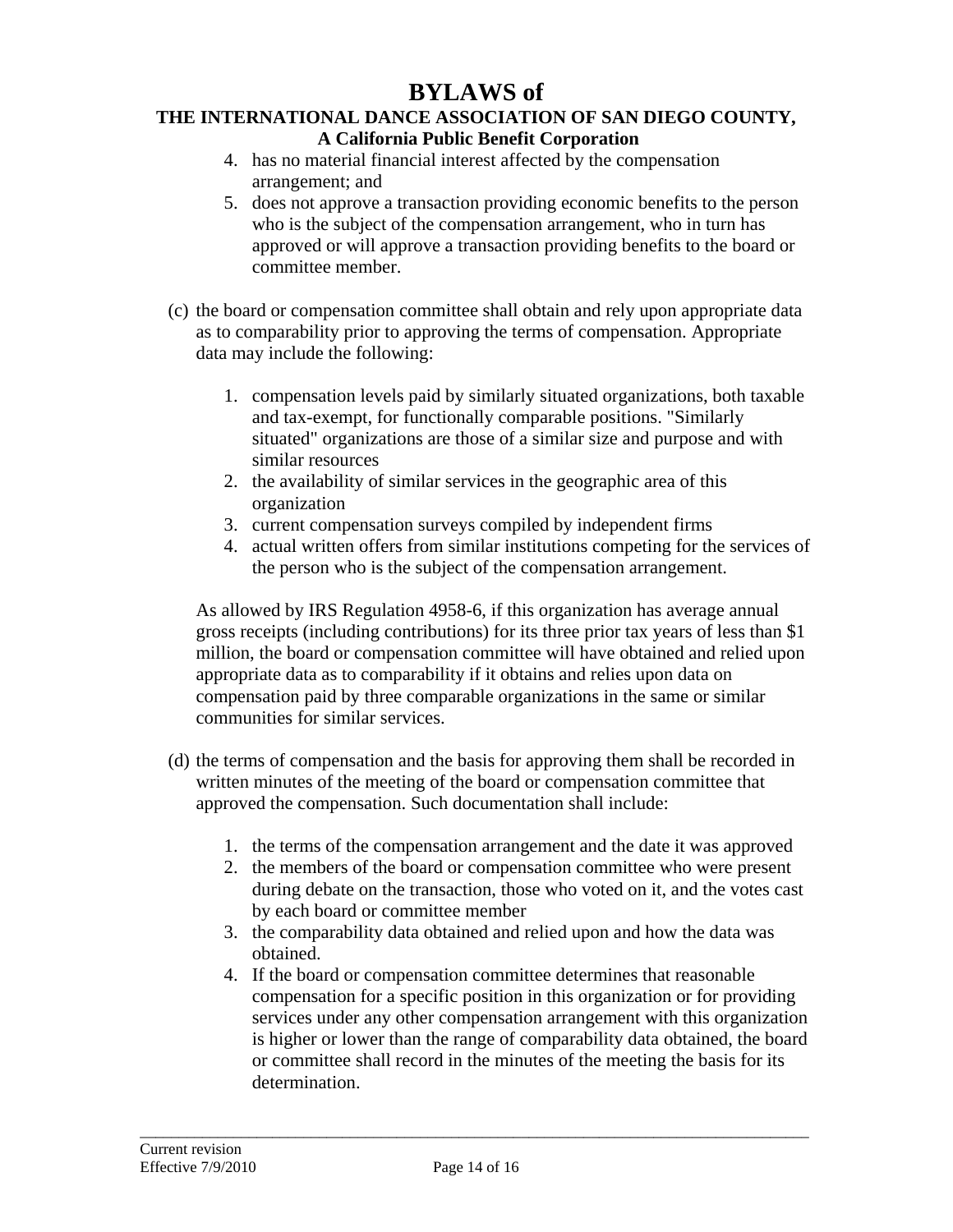#### **THE INTERNATIONAL DANCE ASSOCIATION OF SAN DIEGO COUNTY, A California Public Benefit Corporation**

- 4. has no material financial interest affected by the compensation arrangement; and
- 5. does not approve a transaction providing economic benefits to the person who is the subject of the compensation arrangement, who in turn has approved or will approve a transaction providing benefits to the board or committee member.
- (c) the board or compensation committee shall obtain and rely upon appropriate data as to comparability prior to approving the terms of compensation. Appropriate data may include the following:
	- 1. compensation levels paid by similarly situated organizations, both taxable and tax-exempt, for functionally comparable positions. "Similarly situated" organizations are those of a similar size and purpose and with similar resources
	- 2. the availability of similar services in the geographic area of this organization
	- 3. current compensation surveys compiled by independent firms
	- 4. actual written offers from similar institutions competing for the services of the person who is the subject of the compensation arrangement.

As allowed by IRS Regulation 4958-6, if this organization has average annual gross receipts (including contributions) for its three prior tax years of less than \$1 million, the board or compensation committee will have obtained and relied upon appropriate data as to comparability if it obtains and relies upon data on compensation paid by three comparable organizations in the same or similar communities for similar services.

- (d) the terms of compensation and the basis for approving them shall be recorded in written minutes of the meeting of the board or compensation committee that approved the compensation. Such documentation shall include:
	- 1. the terms of the compensation arrangement and the date it was approved
	- 2. the members of the board or compensation committee who were present during debate on the transaction, those who voted on it, and the votes cast by each board or committee member
	- 3. the comparability data obtained and relied upon and how the data was obtained.
	- 4. If the board or compensation committee determines that reasonable compensation for a specific position in this organization or for providing services under any other compensation arrangement with this organization is higher or lower than the range of comparability data obtained, the board or committee shall record in the minutes of the meeting the basis for its determination.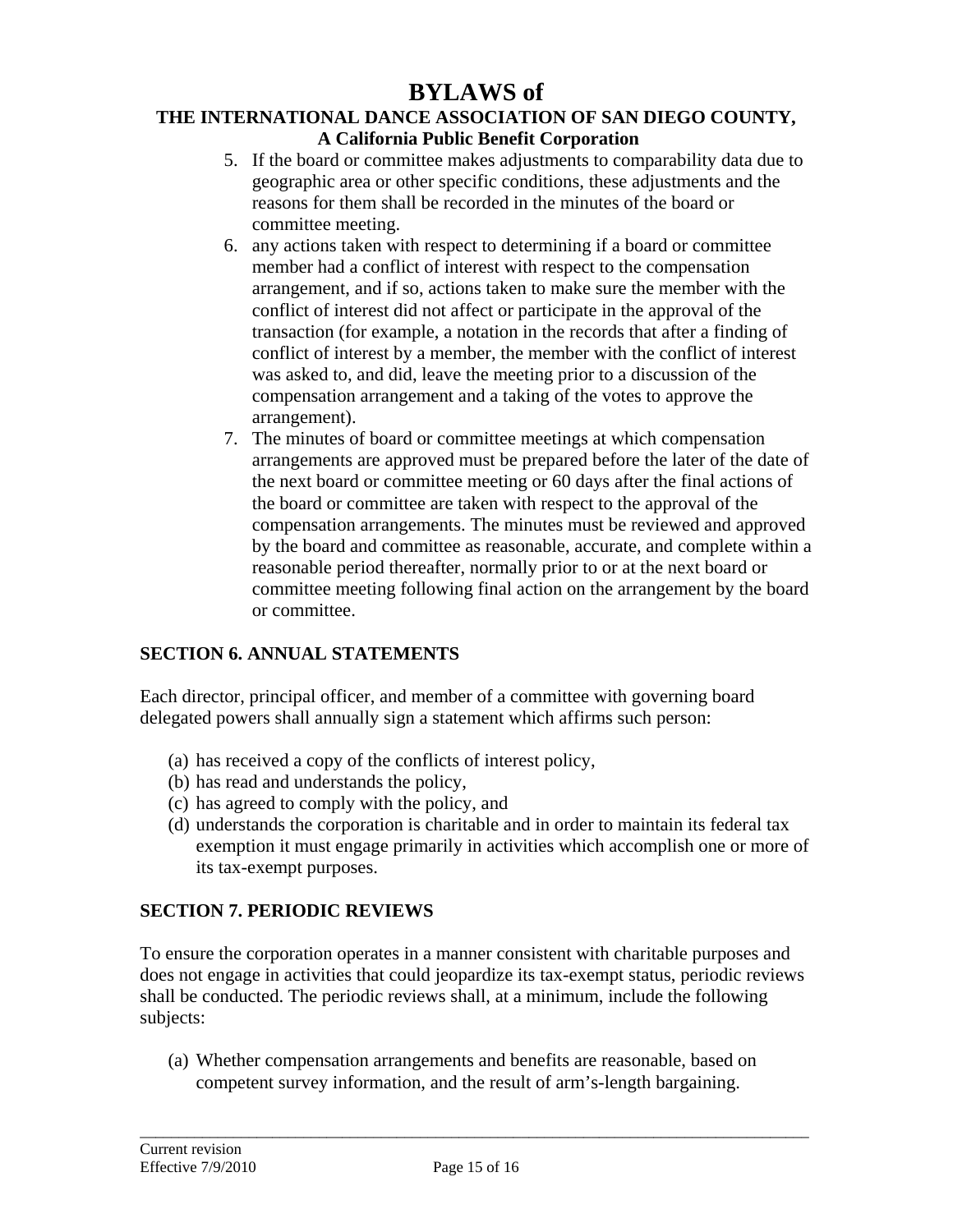#### **THE INTERNATIONAL DANCE ASSOCIATION OF SAN DIEGO COUNTY, A California Public Benefit Corporation**

- 5. If the board or committee makes adjustments to comparability data due to geographic area or other specific conditions, these adjustments and the reasons for them shall be recorded in the minutes of the board or committee meeting.
- 6. any actions taken with respect to determining if a board or committee member had a conflict of interest with respect to the compensation arrangement, and if so, actions taken to make sure the member with the conflict of interest did not affect or participate in the approval of the transaction (for example, a notation in the records that after a finding of conflict of interest by a member, the member with the conflict of interest was asked to, and did, leave the meeting prior to a discussion of the compensation arrangement and a taking of the votes to approve the arrangement).
- 7. The minutes of board or committee meetings at which compensation arrangements are approved must be prepared before the later of the date of the next board or committee meeting or 60 days after the final actions of the board or committee are taken with respect to the approval of the compensation arrangements. The minutes must be reviewed and approved by the board and committee as reasonable, accurate, and complete within a reasonable period thereafter, normally prior to or at the next board or committee meeting following final action on the arrangement by the board or committee.

### **SECTION 6. ANNUAL STATEMENTS**

Each director, principal officer, and member of a committee with governing board delegated powers shall annually sign a statement which affirms such person:

- (a) has received a copy of the conflicts of interest policy,
- (b) has read and understands the policy,
- (c) has agreed to comply with the policy, and
- (d) understands the corporation is charitable and in order to maintain its federal tax exemption it must engage primarily in activities which accomplish one or more of its tax-exempt purposes.

# **SECTION 7. PERIODIC REVIEWS**

To ensure the corporation operates in a manner consistent with charitable purposes and does not engage in activities that could jeopardize its tax-exempt status, periodic reviews shall be conducted. The periodic reviews shall, at a minimum, include the following subjects:

(a) Whether compensation arrangements and benefits are reasonable, based on competent survey information, and the result of arm's-length bargaining.